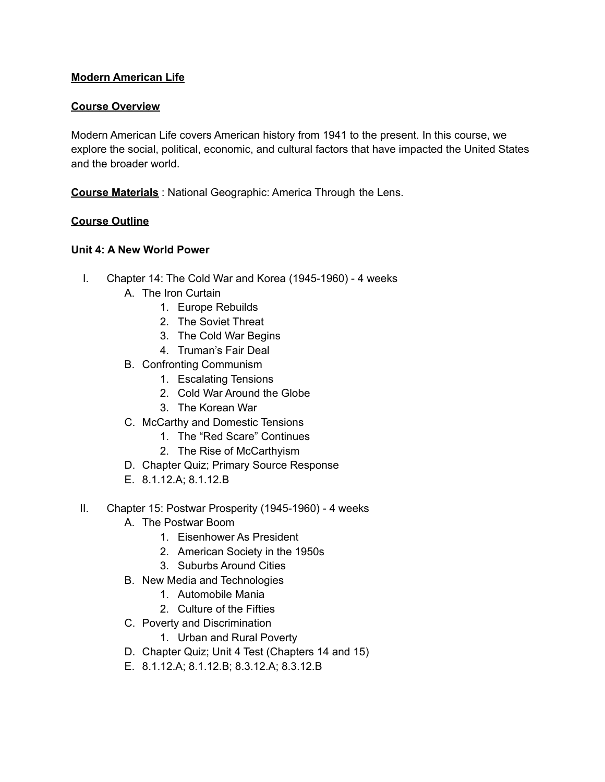# **Modern American Life**

## **Course Overview**

Modern American Life covers American history from 1941 to the present. In this course, we explore the social, political, economic, and cultural factors that have impacted the United States and the broader world.

**Course Materials** : National Geographic: America Through the Lens.

## **Course Outline**

#### **Unit 4: A New World Power**

- I. Chapter 14: The Cold War and Korea (1945-1960) 4 weeks
	- A. The Iron Curtain
		- 1. Europe Rebuilds
		- 2. The Soviet Threat
		- 3. The Cold War Begins
		- 4. Truman's Fair Deal
	- B. Confronting Communism
		- 1. Escalating Tensions
		- 2. Cold War Around the Globe
		- 3. The Korean War
	- C. McCarthy and Domestic Tensions
		- 1. The "Red Scare" Continues
		- 2. The Rise of McCarthyism
	- D. Chapter Quiz; Primary Source Response
	- E. 8.1.12.A; 8.1.12.B
- II. Chapter 15: Postwar Prosperity (1945-1960) 4 weeks
	- A. The Postwar Boom
		- 1. Eisenhower As President
		- 2. American Society in the 1950s
		- 3. Suburbs Around Cities
	- B. New Media and Technologies
		- 1. Automobile Mania
		- 2. Culture of the Fifties
	- C. Poverty and Discrimination
		- 1. Urban and Rural Poverty
	- D. Chapter Quiz; Unit 4 Test (Chapters 14 and 15)
	- E. 8.1.12.A; 8.1.12.B; 8.3.12.A; 8.3.12.B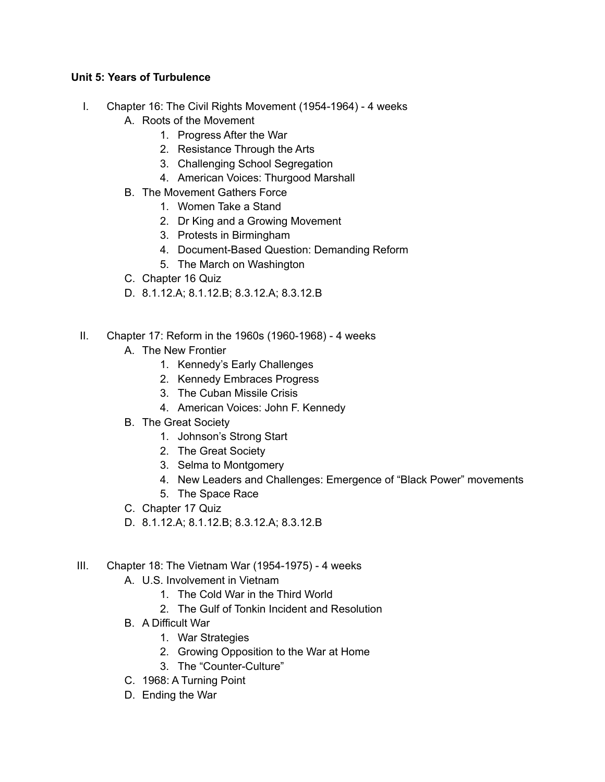# **Unit 5: Years of Turbulence**

- I. Chapter 16: The Civil Rights Movement (1954-1964) 4 weeks
	- A. Roots of the Movement
		- 1. Progress After the War
		- 2. Resistance Through the Arts
		- 3. Challenging School Segregation
		- 4. American Voices: Thurgood Marshall
	- B. The Movement Gathers Force
		- 1. Women Take a Stand
		- 2. Dr King and a Growing Movement
		- 3. Protests in Birmingham
		- 4. Document-Based Question: Demanding Reform
		- 5. The March on Washington
	- C. Chapter 16 Quiz
	- D. 8.1.12.A; 8.1.12.B; 8.3.12.A; 8.3.12.B
- II. Chapter 17: Reform in the 1960s (1960-1968) 4 weeks
	- A. The New Frontier
		- 1. Kennedy's Early Challenges
		- 2. Kennedy Embraces Progress
		- 3. The Cuban Missile Crisis
		- 4. American Voices: John F. Kennedy
	- B. The Great Society
		- 1. Johnson's Strong Start
		- 2. The Great Society
		- 3. Selma to Montgomery
		- 4. New Leaders and Challenges: Emergence of "Black Power" movements
		- 5. The Space Race
	- C. Chapter 17 Quiz
	- D. 8.1.12.A; 8.1.12.B; 8.3.12.A; 8.3.12.B
- III. Chapter 18: The Vietnam War (1954-1975) 4 weeks
	- A. U.S. Involvement in Vietnam
		- 1. The Cold War in the Third World
		- 2. The Gulf of Tonkin Incident and Resolution
	- B. A Difficult War
		- 1. War Strategies
		- 2. Growing Opposition to the War at Home
		- 3. The "Counter-Culture"
	- C. 1968: A Turning Point
	- D. Ending the War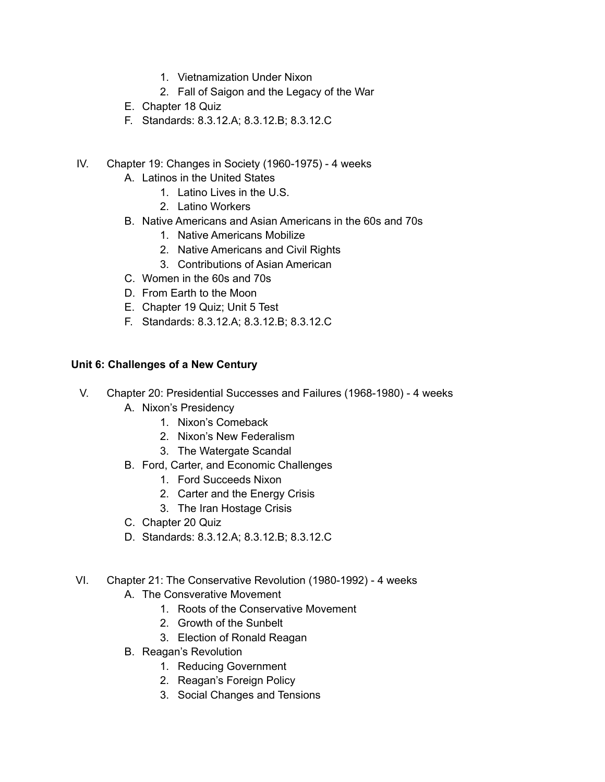- 1. Vietnamization Under Nixon
- 2. Fall of Saigon and the Legacy of the War
- E. Chapter 18 Quiz
- F. Standards: 8.3.12.A; 8.3.12.B; 8.3.12.C
- IV. Chapter 19: Changes in Society (1960-1975) 4 weeks
	- A. Latinos in the United States
		- 1. Latino Lives in the U.S.
		- 2. Latino Workers
	- B. Native Americans and Asian Americans in the 60s and 70s
		- 1. Native Americans Mobilize
		- 2. Native Americans and Civil Rights
		- 3. Contributions of Asian American
	- C. Women in the 60s and 70s
	- D. From Earth to the Moon
	- E. Chapter 19 Quiz; Unit 5 Test
	- F. Standards: 8.3.12.A; 8.3.12.B; 8.3.12.C

## **Unit 6: Challenges of a New Century**

- V. Chapter 20: Presidential Successes and Failures (1968-1980) 4 weeks
	- A. Nixon's Presidency
		- 1. Nixon's Comeback
		- 2. Nixon's New Federalism
		- 3. The Watergate Scandal
	- B. Ford, Carter, and Economic Challenges
		- 1. Ford Succeeds Nixon
		- 2. Carter and the Energy Crisis
		- 3. The Iran Hostage Crisis
	- C. Chapter 20 Quiz
	- D. Standards: 8.3.12.A; 8.3.12.B; 8.3.12.C
- VI. Chapter 21: The Conservative Revolution (1980-1992) 4 weeks
	- A. The Consverative Movement
		- 1. Roots of the Conservative Movement
		- 2. Growth of the Sunbelt
		- 3. Election of Ronald Reagan
	- B. Reagan's Revolution
		- 1. Reducing Government
		- 2. Reagan's Foreign Policy
		- 3. Social Changes and Tensions